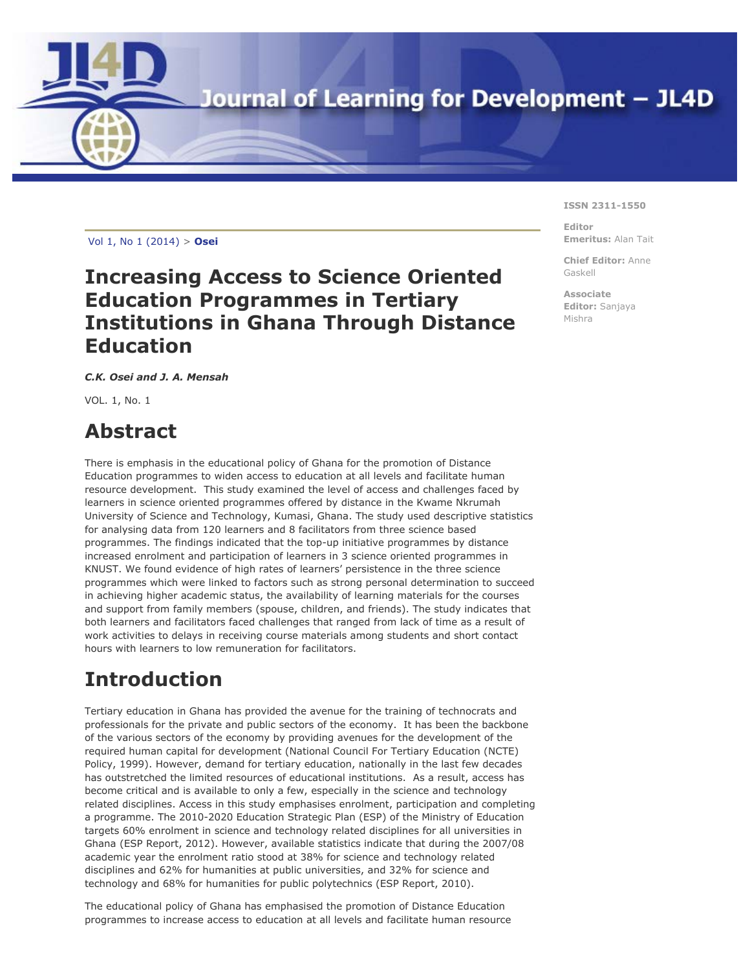

[Vol 1](http://jl4d.org/index.php/ejl4d/index), N[o 1 \(2014\) >](http://jl4d.org/index.php/ejl4d/issue/view/1) **Osei**

### **Increasing Access to Science Oriented Education Programmes in Tertiary Institutions in Ghana Through Distance Education**

*C.K. Osei and J. A. Mensah*

VOL. 1, No. 1

# **Abstract**

There is emphasis in the educational policy of Ghana for the promotion of Distance Education programmes to widen access to education at all levels and facilitate human resource development. This study examined the level of access and challenges faced by learners in science oriented programmes offered by distance in the Kwame Nkrumah University of Science and Technology, Kumasi, Ghana. The study used descriptive statistics for analysing data from 120 learners and 8 facilitators from three science based programmes. The findings indicated that the top-up initiative programmes by distance increased enrolment and participation of learners in 3 science oriented programmes in KNUST. We found evidence of high rates of learners' persistence in the three science programmes which were linked to factors such as strong personal determination to succeed in achieving higher academic status, the availability of learning materials for the courses and support from family members (spouse, children, and friends). The study indicates that both learners and facilitators faced challenges that ranged from lack of time as a result of work activities to delays in receiving course materials among students and short contact hours with learners to low remuneration for facilitators.

# **Introduction**

Tertiary education in Ghana has provided the avenue for the training of technocrats and professionals for the private and public sectors of the economy. It has been the backbone of the various sectors of the economy by providing avenues for the development of the required human capital for development (National Council For Tertiary Education (NCTE) Policy, 1999). However, demand for tertiary education, nationally in the last few decades has outstretched the limited resources of educational institutions. As a result, access has become critical and is available to only a few, especially in the science and technology related disciplines. Access in this study emphasises enrolment, participation and completing a programme. The 2010-2020 Education Strategic Plan (ESP) of the Ministry of Education targets 60% enrolment in science and technology related disciplines for all universities in Ghana (ESP Report, 2012). However, available statistics indicate that during the 2007/08 academic year the enrolment ratio stood at 38% for science and technology related disciplines and 62% for humanities at public universities, and 32% for science and technology and 68% for humanities for public polytechnics (ESP Report, 2010).

The educational policy of Ghana has emphasised the promotion of Distance Education programmes to increase access to education at all levels and facilitate human resource

#### **ISSN 2311-1550**

**Editor Emeritus:** Alan Tait

**Chief Editor:** Anne Gaskell

**Associate Editor:** Sanjaya Mishra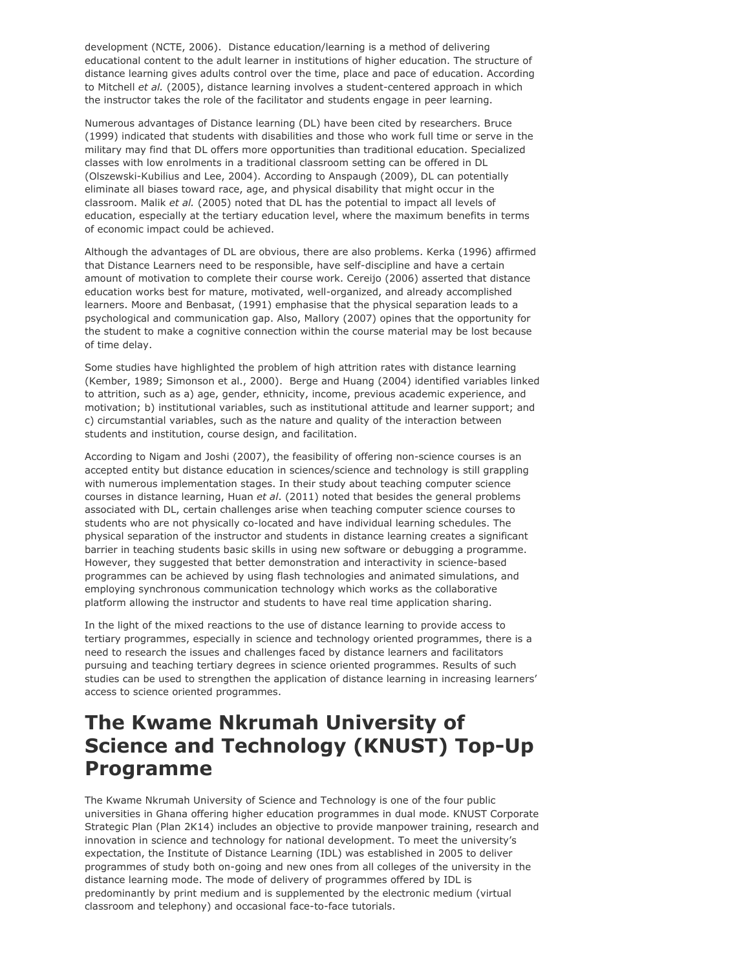development (NCTE, 2006). Distance education/learning is a method of delivering educational content to the adult learner in institutions of higher education. The structure of distance learning gives adults control over the time, place and pace of education. According to Mitchell *et al.* (2005), distance learning involves a student-centered approach in which the instructor takes the role of the facilitator and students engage in peer learning.

Numerous advantages of Distance learning (DL) have been cited by researchers. Bruce (1999) indicated that students with disabilities and those who work full time or serve in the military may find that DL offers more opportunities than traditional education. Specialized classes with low enrolments in a traditional classroom setting can be offered in DL (Olszewski-Kubilius and Lee, 2004). According to Anspaugh (2009), DL can potentially eliminate all biases toward race, age, and physical disability that might occur in the classroom. Malik *et al.* (2005) noted that DL has the potential to impact all levels of education, especially at the tertiary education level, where the maximum benefits in terms of economic impact could be achieved.

Although the advantages of DL are obvious, there are also problems. Kerka (1996) affirmed that Distance Learners need to be responsible, have self-discipline and have a certain amount of motivation to complete their course work. Cereijo (2006) asserted that distance education works best for mature, motivated, well-organized, and already accomplished learners. Moore and Benbasat, (1991) emphasise that the physical separation leads to a psychological and communication gap. Also, Mallory (2007) opines that the opportunity for the student to make a cognitive connection within the course material may be lost because of time delay.

Some studies have highlighted the problem of high attrition rates with distance learning (Kember, 1989; Simonson et al., 2000). Berge and Huang (2004) identified variables linked to attrition, such as a) age, gender, ethnicity, income, previous academic experience, and motivation; b) institutional variables, such as institutional attitude and learner support; and c) circumstantial variables, such as the nature and quality of the interaction between students and institution, course design, and facilitation.

According to Nigam and Joshi (2007), the feasibility of offering non-science courses is an accepted entity but distance education in sciences/science and technology is still grappling with numerous implementation stages. In their study about teaching computer science courses in distance learning, Huan *et al*. (2011) noted that besides the general problems associated with DL, certain challenges arise when teaching computer science courses to students who are not physically co-located and have individual learning schedules. The physical separation of the instructor and students in distance learning creates a significant barrier in teaching students basic skills in using new software or debugging a programme. However, they suggested that better demonstration and interactivity in science-based programmes can be achieved by using flash technologies and animated simulations, and employing synchronous communication technology which works as the collaborative platform allowing the instructor and students to have real time application sharing.

In the light of the mixed reactions to the use of distance learning to provide access to tertiary programmes, especially in science and technology oriented programmes, there is a need to research the issues and challenges faced by distance learners and facilitators pursuing and teaching tertiary degrees in science oriented programmes. Results of such studies can be used to strengthen the application of distance learning in increasing learners' access to science oriented programmes.

### **The Kwame Nkrumah University of Science and Technology (KNUST) Top-Up Programme**

The Kwame Nkrumah University of Science and Technology is one of the four public universities in Ghana offering higher education programmes in dual mode. KNUST Corporate Strategic Plan (Plan 2K14) includes an objective to provide manpower training, research and innovation in science and technology for national development. To meet the university's expectation, the Institute of Distance Learning (IDL) was established in 2005 to deliver programmes of study both on-going and new ones from all colleges of the university in the distance learning mode. The mode of delivery of programmes offered by IDL is predominantly by print medium and is supplemented by the electronic medium (virtual classroom and telephony) and occasional face-to-face tutorials.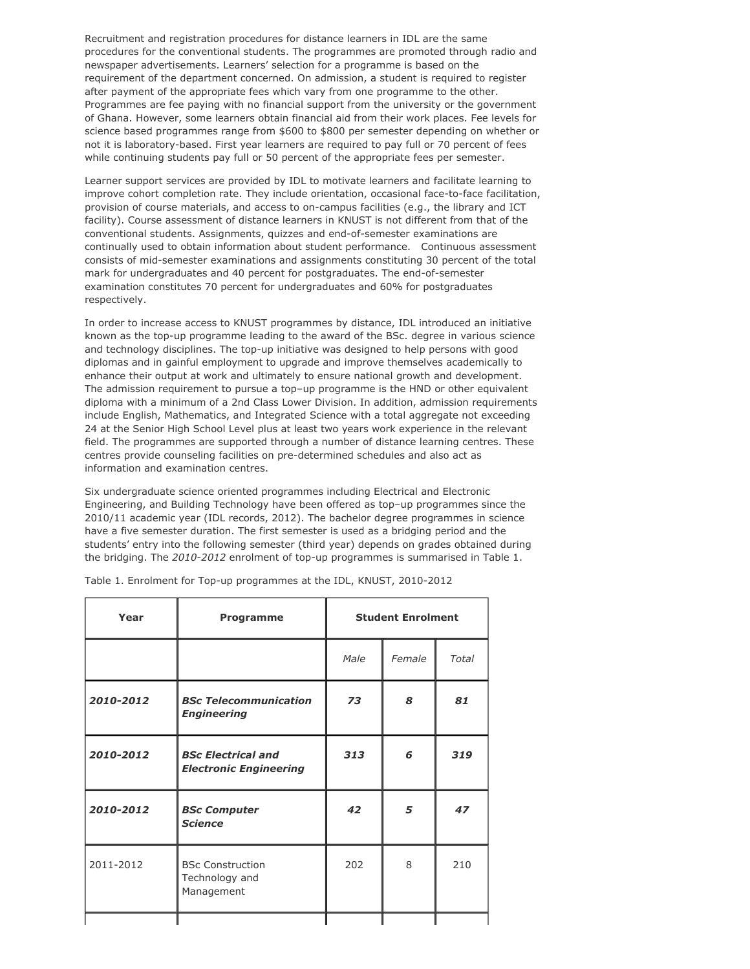Recruitment and registration procedures for distance learners in IDL are the same procedures for the conventional students. The programmes are promoted through radio and newspaper advertisements. Learners' selection for a programme is based on the requirement of the department concerned. On admission, a student is required to register after payment of the appropriate fees which vary from one programme to the other. Programmes are fee paying with no financial support from the university or the government of Ghana. However, some learners obtain financial aid from their work places. Fee levels for science based programmes range from \$600 to \$800 per semester depending on whether or not it is laboratory-based. First year learners are required to pay full or 70 percent of fees while continuing students pay full or 50 percent of the appropriate fees per semester.

Learner support services are provided by IDL to motivate learners and facilitate learning to improve cohort completion rate. They include orientation, occasional face-to-face facilitation, provision of course materials, and access to on-campus facilities (e.g., the library and ICT facility). Course assessment of distance learners in KNUST is not different from that of the conventional students. Assignments, quizzes and end-of-semester examinations are continually used to obtain information about student performance. Continuous assessment consists of mid-semester examinations and assignments constituting 30 percent of the total mark for undergraduates and 40 percent for postgraduates. The end-of-semester examination constitutes 70 percent for undergraduates and 60% for postgraduates respectively.

In order to increase access to KNUST programmes by distance, IDL introduced an initiative known as the top-up programme leading to the award of the BSc. degree in various science and technology disciplines. The top-up initiative was designed to help persons with good diplomas and in gainful employment to upgrade and improve themselves academically to enhance their output at work and ultimately to ensure national growth and development. The admission requirement to pursue a top–up programme is the HND or other equivalent diploma with a minimum of a 2nd Class Lower Division. In addition, admission requirements include English, Mathematics, and Integrated Science with a total aggregate not exceeding 24 at the Senior High School Level plus at least two years work experience in the relevant field. The programmes are supported through a number of distance learning centres. These centres provide counseling facilities on pre-determined schedules and also act as information and examination centres.

Six undergraduate science oriented programmes including Electrical and Electronic Engineering, and Building Technology have been offered as top–up programmes since the 2010/11 academic year (IDL records, 2012). The bachelor degree programmes in science have a five semester duration. The first semester is used as a bridging period and the students' entry into the following semester (third year) depends on grades obtained during the bridging. The *2010-2012* enrolment of top-up programmes is summarised in Table 1.

| Year      | <b>Programme</b>                                           | <b>Student Enrolment</b> |        |       |  |
|-----------|------------------------------------------------------------|--------------------------|--------|-------|--|
|           |                                                            | Male                     | Female | Total |  |
| 2010-2012 | <b>BSc Telecommunication</b><br><b>Engineering</b>         | 73                       | 8      | 81    |  |
| 2010-2012 | <b>BSc Electrical and</b><br><b>Electronic Engineering</b> | 313                      | 6      | 319   |  |
| 2010-2012 | <b>BSc Computer</b><br><b>Science</b>                      | 42                       | 5      | 47    |  |
| 2011-2012 | <b>BSc Construction</b><br>Technology and<br>Management    | 202                      | 8      | 210   |  |
|           |                                                            |                          |        |       |  |

Table 1. Enrolment for Top-up programmes at the IDL, KNUST, 2010-2012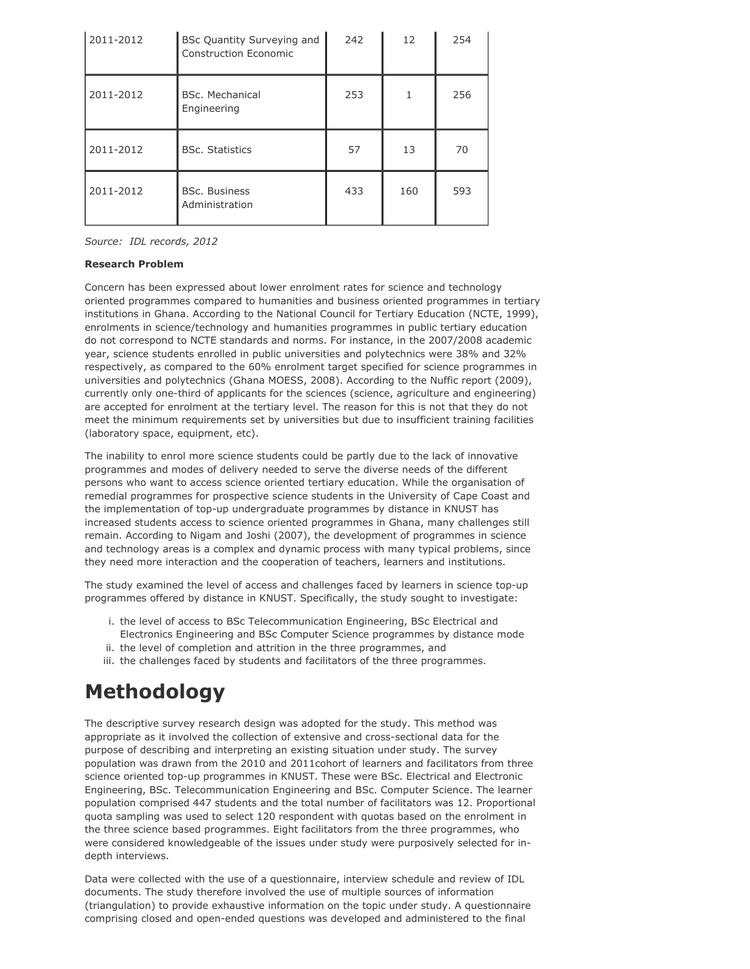| 2011-2012 | <b>BSc Quantity Surveying and</b><br>Construction Economic | 242 | 12  | 254 |
|-----------|------------------------------------------------------------|-----|-----|-----|
| 2011-2012 | BSc. Mechanical<br>Engineering                             | 253 |     | 256 |
| 2011-2012 | <b>BSc. Statistics</b>                                     | 57  | 13  | 70  |
| 2011-2012 | <b>BSc. Business</b><br>Administration                     | 433 | 160 | 593 |

*Source: IDL records, 2012*

#### **Research Problem**

Concern has been expressed about lower enrolment rates for science and technology oriented programmes compared to humanities and business oriented programmes in tertiary institutions in Ghana. According to the National Council for Tertiary Education (NCTE, 1999), enrolments in science/technology and humanities programmes in public tertiary education do not correspond to NCTE standards and norms. For instance, in the 2007/2008 academic year, science students enrolled in public universities and polytechnics were 38% and 32% respectively, as compared to the 60% enrolment target specified for science programmes in universities and polytechnics (Ghana MOESS, 2008). According to the Nuffic report (2009), currently only one-third of applicants for the sciences (science, agriculture and engineering) are accepted for enrolment at the tertiary level. The reason for this is not that they do not meet the minimum requirements set by universities but due to insufficient training facilities (laboratory space, equipment, etc).

The inability to enrol more science students could be partly due to the lack of innovative programmes and modes of delivery needed to serve the diverse needs of the different persons who want to access science oriented tertiary education. While the organisation of remedial programmes for prospective science students in the University of Cape Coast and the implementation of top-up undergraduate programmes by distance in KNUST has increased students access to science oriented programmes in Ghana, many challenges still remain. According to Nigam and Joshi (2007), the development of programmes in science and technology areas is a complex and dynamic process with many typical problems, since they need more interaction and the cooperation of teachers, learners and institutions.

The study examined the level of access and challenges faced by learners in science top-up programmes offered by distance in KNUST. Specifically, the study sought to investigate:

- i. the level of access to BSc Telecommunication Engineering, BSc Electrical and Electronics Engineering and BSc Computer Science programmes by distance mode
- ii. the level of completion and attrition in the three programmes, and
- iii. the challenges faced by students and facilitators of the three programmes.

# **Methodology**

The descriptive survey research design was adopted for the study. This method was appropriate as it involved the collection of extensive and cross-sectional data for the purpose of describing and interpreting an existing situation under study. The survey population was drawn from the 2010 and 2011cohort of learners and facilitators from three science oriented top-up programmes in KNUST. These were BSc. Electrical and Electronic Engineering, BSc. Telecommunication Engineering and BSc. Computer Science. The learner population comprised 447 students and the total number of facilitators was 12. Proportional quota sampling was used to select 120 respondent with quotas based on the enrolment in the three science based programmes. Eight facilitators from the three programmes, who were considered knowledgeable of the issues under study were purposively selected for indepth interviews.

Data were collected with the use of a questionnaire, interview schedule and review of IDL documents. The study therefore involved the use of multiple sources of information (triangulation) to provide exhaustive information on the topic under study. A questionnaire comprising closed and open-ended questions was developed and administered to the final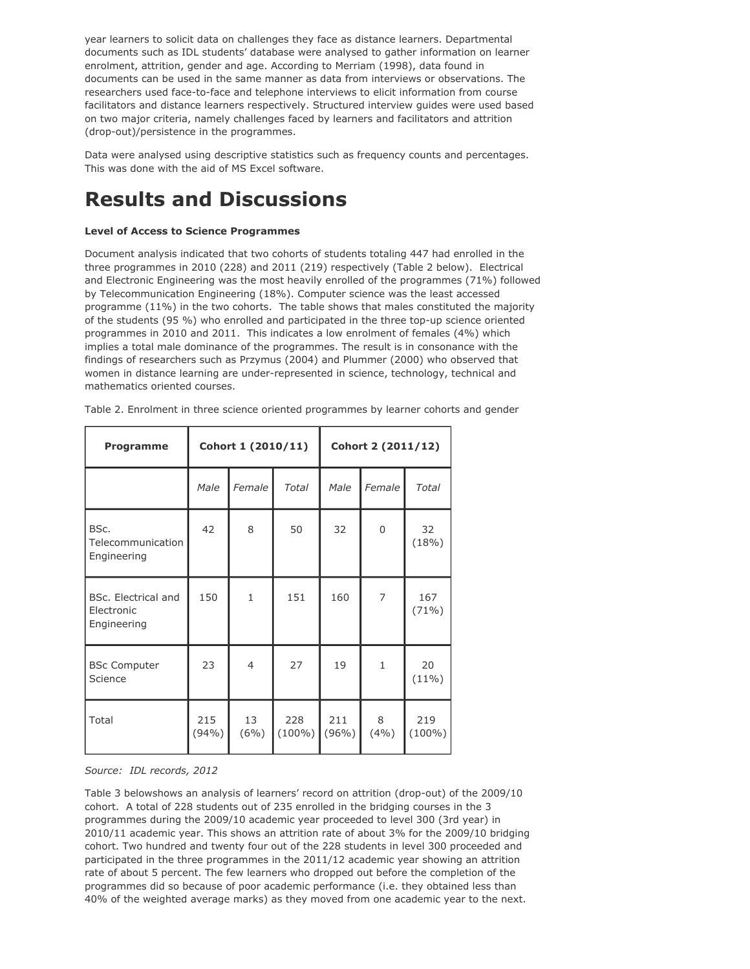year learners to solicit data on challenges they face as distance learners. Departmental documents such as IDL students' database were analysed to gather information on learner enrolment, attrition, gender and age. According to Merriam (1998), data found in documents can be used in the same manner as data from interviews or observations. The researchers used face-to-face and telephone interviews to elicit information from course facilitators and distance learners respectively. Structured interview guides were used based on two major criteria, namely challenges faced by learners and facilitators and attrition (drop-out)/persistence in the programmes.

Data were analysed using descriptive statistics such as frequency counts and percentages. This was done with the aid of MS Excel software.

# **Results and Discussions**

#### **Level of Access to Science Programmes**

Document analysis indicated that two cohorts of students totaling 447 had enrolled in the three programmes in 2010 (228) and 2011 (219) respectively (Table 2 below). Electrical and Electronic Engineering was the most heavily enrolled of the programmes (71%) followed by Telecommunication Engineering (18%). Computer science was the least accessed programme (11%) in the two cohorts. The table shows that males constituted the majority of the students (95 %) who enrolled and participated in the three top-up science oriented programmes in 2010 and 2011. This indicates a low enrolment of females (4%) which implies a total male dominance of the programmes. The result is in consonance with the findings of researchers such as Przymus (2004) and Plummer (2000) who observed that women in distance learning are under-represented in science, technology, technical and mathematics oriented courses.

| Table 2. Enrolment in three science oriented programmes by learner cohorts and gender |  |  |  |  |  |  |  |  |  |  |  |  |
|---------------------------------------------------------------------------------------|--|--|--|--|--|--|--|--|--|--|--|--|
|---------------------------------------------------------------------------------------|--|--|--|--|--|--|--|--|--|--|--|--|

| Programme                                        |              | Cohort 1 (2010/11) |                  | Cohort 2 (2011/12) |              |                  |  |
|--------------------------------------------------|--------------|--------------------|------------------|--------------------|--------------|------------------|--|
|                                                  | Male         | Female             | <b>Total</b>     | Male               | Female       | <b>Total</b>     |  |
| BSc.<br>Telecommunication<br>Engineering         | 42           | 8                  | 50               | 32                 | 0            | 32<br>(18%)      |  |
| BSc. Electrical and<br>Electronic<br>Engineering | 150          | $\mathbf{1}$       | 151              | 160                | 7            | 167<br>$(71\%)$  |  |
| <b>BSc Computer</b><br>Science                   | 23           | $\overline{4}$     | 27               | 19                 | $\mathbf{1}$ | 20<br>$(11\%)$   |  |
| Total                                            | 215<br>(94%) | 13<br>$(6\%)$      | 228<br>$(100\%)$ | 211<br>$(96\%)$    | 8<br>(4%)    | 219<br>$(100\%)$ |  |

#### *Source: IDL records, 2012*

Table 3 belowshows an analysis of learners' record on attrition (drop-out) of the 2009/10 cohort. A total of 228 students out of 235 enrolled in the bridging courses in the 3 programmes during the 2009/10 academic year proceeded to level 300 (3rd year) in 2010/11 academic year. This shows an attrition rate of about 3% for the 2009/10 bridging cohort. Two hundred and twenty four out of the 228 students in level 300 proceeded and participated in the three programmes in the 2011/12 academic year showing an attrition rate of about 5 percent. The few learners who dropped out before the completion of the programmes did so because of poor academic performance (i.e. they obtained less than 40% of the weighted average marks) as they moved from one academic year to the next.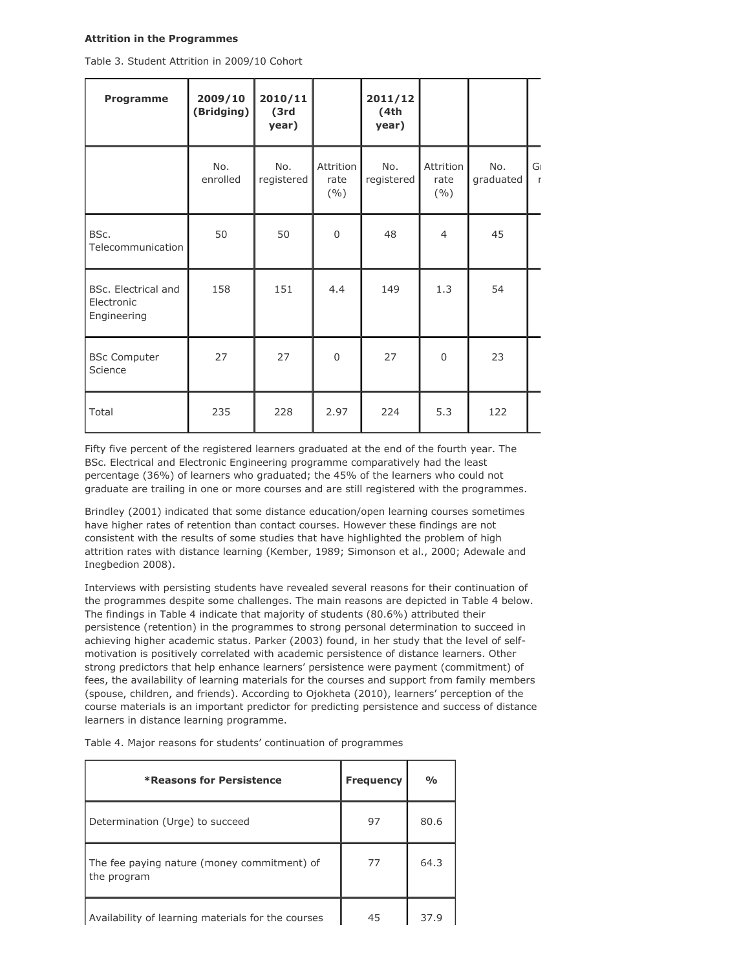#### **Attrition in the Programmes**

Table 3. Student Attrition in 2009/10 Cohort

| <b>Programme</b>                                 | 2009/10<br>(Bridging) | 2010/11<br>(3rd)<br>year) |                          | 2011/12<br>(4th)<br>year) |                          |                  |                   |
|--------------------------------------------------|-----------------------|---------------------------|--------------------------|---------------------------|--------------------------|------------------|-------------------|
|                                                  | No.<br>enrolled       | No.<br>registered         | Attrition<br>rate<br>(%) | No.<br>registered         | Attrition<br>rate<br>(%) | No.<br>graduated | G<br>$\mathbf{r}$ |
| BSc.<br>Telecommunication                        | 50                    | 50                        | $\Omega$                 | 48                        | $\overline{4}$           | 45               |                   |
| BSc. Electrical and<br>Electronic<br>Engineering | 158                   | 151                       | 4.4                      | 149                       | 1.3                      | 54               |                   |
| <b>BSc Computer</b><br>Science                   | 27                    | 27                        | $\Omega$                 | 27                        | $\Omega$                 | 23               |                   |
| Total                                            | 235                   | 228                       | 2.97                     | 224                       | 5.3                      | 122              |                   |

Fifty five percent of the registered learners graduated at the end of the fourth year. The BSc. Electrical and Electronic Engineering programme comparatively had the least percentage (36%) of learners who graduated; the 45% of the learners who could not graduate are trailing in one or more courses and are still registered with the programmes.

Brindley (2001) indicated that some distance education/open learning courses sometimes have higher rates of retention than contact courses. However these findings are not consistent with the results of some studies that have highlighted the problem of high attrition rates with distance learning (Kember, 1989; Simonson et al., 2000; Adewale and Inegbedion 2008).

Interviews with persisting students have revealed several reasons for their continuation of the programmes despite some challenges. The main reasons are depicted in Table 4 below. The findings in Table 4 indicate that majority of students (80.6%) attributed their persistence (retention) in the programmes to strong personal determination to succeed in achieving higher academic status. Parker (2003) found, in her study that the level of selfmotivation is positively correlated with academic persistence of distance learners. Other strong predictors that help enhance learners' persistence were payment (commitment) of fees, the availability of learning materials for the courses and support from family members (spouse, children, and friends). According to Ojokheta (2010), learners' perception of the course materials is an important predictor for predicting persistence and success of distance learners in distance learning programme.

| <b>*Reasons for Persistence</b>                            | <b>Frequency</b> | $\frac{0}{0}$ |
|------------------------------------------------------------|------------------|---------------|
| Determination (Urge) to succeed                            | 97               | 80.6          |
| The fee paying nature (money commitment) of<br>the program | 77               | 64.3          |
| Availability of learning materials for the courses         | 45               | 37.9          |

Table 4. Major reasons for students' continuation of programmes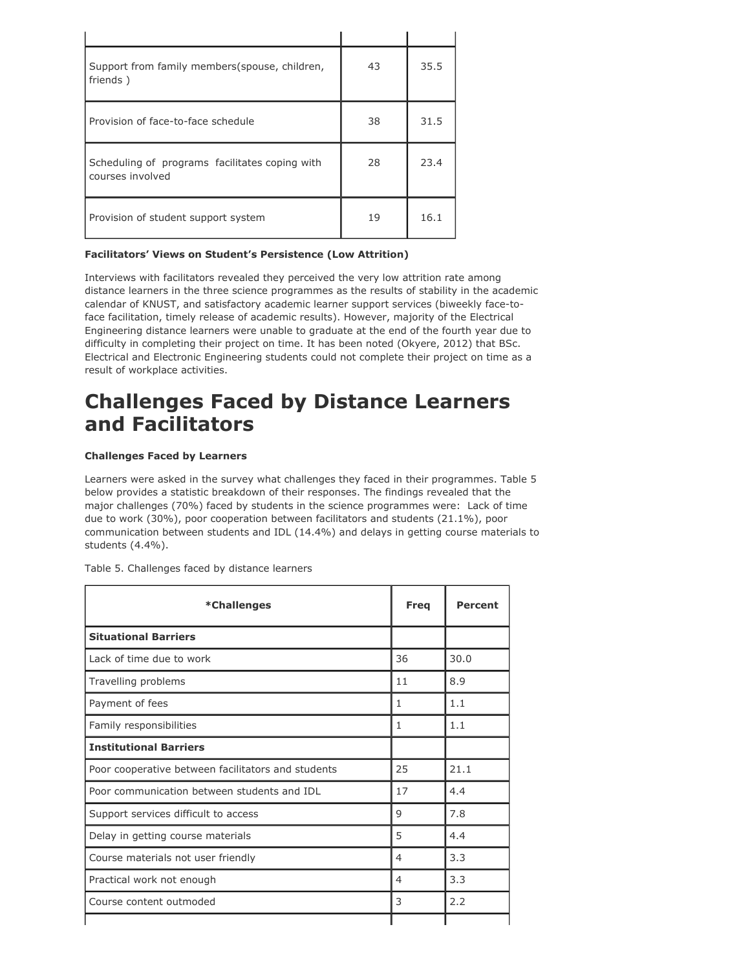| Support from family members (spouse, children,<br>friends)         | 43 | 35.5 |
|--------------------------------------------------------------------|----|------|
| Provision of face-to-face schedule                                 | 38 | 31.5 |
| Scheduling of programs facilitates coping with<br>courses involved | 28 | 23.4 |
| Provision of student support system                                | 19 | 16.1 |

#### **Facilitators' Views on Student's Persistence (Low Attrition)**

Interviews with facilitators revealed they perceived the very low attrition rate among distance learners in the three science programmes as the results of stability in the academic calendar of KNUST, and satisfactory academic learner support services (biweekly face-toface facilitation, timely release of academic results). However, majority of the Electrical Engineering distance learners were unable to graduate at the end of the fourth year due to difficulty in completing their project on time. It has been noted (Okyere, 2012) that BSc. Electrical and Electronic Engineering students could not complete their project on time as a result of workplace activities.

### **Challenges Faced by Distance Learners and Facilitators**

#### **Challenges Faced by Learners**

Learners were asked in the survey what challenges they faced in their programmes. Table 5 below provides a statistic breakdown of their responses. The findings revealed that the major challenges (70%) faced by students in the science programmes were: Lack of time due to work (30%), poor cooperation between facilitators and students (21.1%), poor communication between students and IDL (14.4%) and delays in getting course materials to students (4.4%).

Table 5. Challenges faced by distance learners

| *Challenges                                        | <b>Freq</b>  | <b>Percent</b> |
|----------------------------------------------------|--------------|----------------|
| <b>Situational Barriers</b>                        |              |                |
| Lack of time due to work                           | 36           | 30.0           |
| Travelling problems                                | 11           | 8.9            |
| Payment of fees                                    | 1            | 1.1            |
| Family responsibilities                            | $\mathbf{1}$ | 1.1            |
| <b>Institutional Barriers</b>                      |              |                |
| Poor cooperative between facilitators and students | 25           | 21.1           |
| Poor communication between students and IDL        | 17           | 4.4            |
| Support services difficult to access               | 9            | 7.8            |
| Delay in getting course materials                  | 5            | 4.4            |
| Course materials not user friendly                 | 4            | 3.3            |
| Practical work not enough                          | 4            | 3.3            |
| Course content outmoded                            | 3            | 2.2            |
|                                                    |              |                |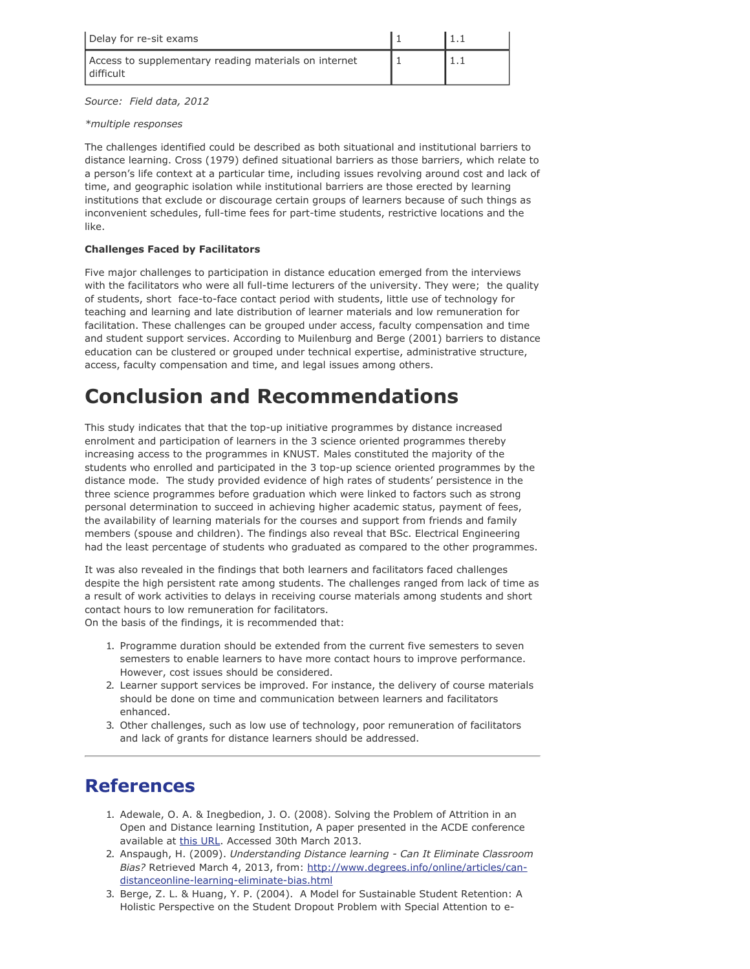| Delay for re-sit exams                                               |  |
|----------------------------------------------------------------------|--|
| Access to supplementary reading materials on internet<br>l difficult |  |

*Source: Field data, 2012*

#### *\*multiple responses*

The challenges identified could be described as both situational and institutional barriers to distance learning. Cross (1979) defined situational barriers as those barriers, which relate to a person's life context at a particular time, including issues revolving around cost and lack of time, and geographic isolation while institutional barriers are those erected by learning institutions that exclude or discourage certain groups of learners because of such things as inconvenient schedules, full-time fees for part-time students, restrictive locations and the like.

#### **Challenges Faced by Facilitators**

Five major challenges to participation in distance education emerged from the interviews with the facilitators who were all full-time lecturers of the university. They were; the quality of students, short face-to-face contact period with students, little use of technology for teaching and learning and late distribution of learner materials and low remuneration for facilitation. These challenges can be grouped under access, faculty compensation and time and student support services. According to Muilenburg and Berge (2001) barriers to distance education can be clustered or grouped under technical expertise, administrative structure, access, faculty compensation and time, and legal issues among others.

### **Conclusion and Recommendations**

This study indicates that that the top-up initiative programmes by distance increased enrolment and participation of learners in the 3 science oriented programmes thereby increasing access to the programmes in KNUST*.* Males constituted the majority of the students who enrolled and participated in the 3 top-up science oriented programmes by the distance mode. The study provided evidence of high rates of students' persistence in the three science programmes before graduation which were linked to factors such as strong personal determination to succeed in achieving higher academic status, payment of fees, the availability of learning materials for the courses and support from friends and family members (spouse and children). The findings also reveal that BSc. Electrical Engineering had the least percentage of students who graduated as compared to the other programmes.

It was also revealed in the findings that both learners and facilitators faced challenges despite the high persistent rate among students. The challenges ranged from lack of time as a result of work activities to delays in receiving course materials among students and short contact hours to low remuneration for facilitators.

On the basis of the findings, it is recommended that:

- 1. Programme duration should be extended from the current five semesters to seven semesters to enable learners to have more contact hours to improve performance. However, cost issues should be considered.
- 2. Learner support services be improved. For instance, the delivery of course materials should be done on time and communication between learners and facilitators enhanced.
- 3. Other challenges, such as low use of technology, poor remuneration of facilitators and lack of grants for distance learners should be addressed.

### **References**

- 1. Adewale, O. A. & Inegbedion, J. O. (2008). Solving the Problem of Attrition in an Open and Distance learning Institution, A paper presented in the ACDE conference available at [this URL](http://www.nou.edu.ng/noun/acde2008/acde_en/papers.pdf/SUBTHEME%20IV%20PDF/SOLVING%20THE%20PROBLEM%20OF%20ATTRITION%20IN%20AN%20OPEN%20AND%20DISTANCE%20LEARNING%20INSTITUTION_ADEWALE%20O.A.pdf). Accessed 30th March 2013.
- 2. Anspaugh, H. (2009). *Understanding Distance learning Can It Eliminate Classroom Bias?* Retrieved March 4, 2013, from: [http://www.degrees.info/online/articles/can](http://www.degrees.info/online/articles/can-distanceonline-learning-eliminate-bias.html)[distanceonline-learning-eliminate-bias.html](http://www.degrees.info/online/articles/can-distanceonline-learning-eliminate-bias.html)
- 3. Berge, Z. L. & Huang, Y. P. (2004). A Model for Sustainable Student Retention: A Holistic Perspective on the Student Dropout Problem with Special Attention to e-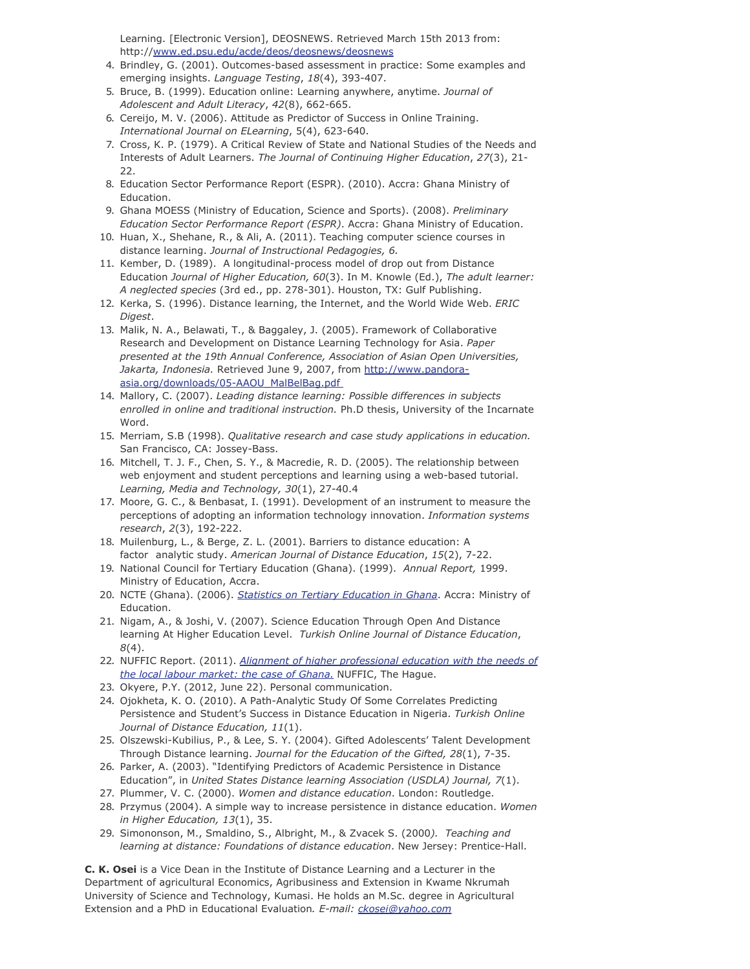Learning. [Electronic Version], DEOSNEWS. Retrieved March 15th 2013 from: http:/[/www.ed.psu.edu/acde/deos/deosnews/deosnews](http://www.ed.psu.edu/acde/deos/deosnews/deosnews)

- 4. Brindley, G. (2001). Outcomes-based assessment in practice: Some examples and emerging insights. *Language Testing*, *18*(4), 393-407.
- 5. Bruce, B. (1999). Education online: Learning anywhere, anytime. *Journal of Adolescent and Adult Literacy*, *42*(8), 662-665.
- 6. Cereijo, M. V. (2006). Attitude as Predictor of Success in Online Training. *International Journal on ELearning*, 5(4), 623-640.
- 7. Cross, K. P. (1979). A Critical Review of State and National Studies of the Needs and Interests of Adult Learners. *The Journal of Continuing Higher Education*, *27*(3), 21- 22.
- 8. Education Sector Performance Report (ESPR). (2010). Accra: Ghana Ministry of Education.
- 9. Ghana MOESS (Ministry of Education, Science and Sports). (2008). *Preliminary Education Sector Performance Report (ESPR)*. Accra: Ghana Ministry of Education.
- 10. Huan, X., Shehane, R., & Ali, A. (2011). Teaching computer science courses in distance learning. *Journal of Instructional Pedagogies, 6.*
- 11. Kember, D. (1989). A longitudinal-process model of drop out from Distance Education *Journal of Higher Education, 60*(3). In M. Knowle (Ed.), *The adult learner: A neglected species* (3rd ed., pp. 278-301). Houston, TX: Gulf Publishing.
- 12. Kerka, S. (1996). Distance learning, the Internet, and the World Wide Web. *ERIC Digest*.
- 13. Malik, N. A., Belawati, T., & Baggaley, J. (2005). Framework of Collaborative Research and Development on Distance Learning Technology for Asia. *Paper presented at the 19th Annual Conference, Association of Asian Open Universities, Jakarta, Indonesia.* Retrieved June 9, 2007, from [http://www.pandora](http://www.pandora-asia.org/downloads/05-AAOU_MalBelBag.pdf)[asia.org/downloads/05-AAOU\\_MalBelBag.pdf](http://www.pandora-asia.org/downloads/05-AAOU_MalBelBag.pdf)
- 14. Mallory, C. (2007). *Leading distance learning: Possible differences in subjects enrolled in online and traditional instruction.* Ph.D thesis, University of the Incarnate Word.
- 15. Merriam, S.B (1998). *Qualitative research and case study applications in education.* San Francisco, CA: Jossey-Bass.
- 16. Mitchell, T. J. F., Chen, S. Y., & Macredie, R. D. (2005). The relationship between web enjoyment and student perceptions and learning using a web-based tutorial. *Learning, Media and Technology, 30*(1), 27-40.4
- 17. Moore, G. C., & Benbasat, I. (1991). Development of an instrument to measure the perceptions of adopting an information technology innovation. *Information systems research*, *2*(3), 192-222.
- 18. Muilenburg, L., & Berge, Z. L. (2001). Barriers to distance education: A factor analytic study. *American Journal of Distance Education*, *15*(2), 7-22.
- 19. National Council for Tertiary Education (Ghana). (1999). *Annual Report,* 1999. Ministry of Education, Accra.
- 20. NCTE (Ghana). (2006). *[Statistics on Tertiary Education in Ghana](http://www.ncte.edu.gh/)*. Accra: Ministry of Education.
- 21. Nigam, A., & Joshi, V. (2007). Science Education Through Open And Distance learning At Higher Education Level. *Turkish Online Journal of Distance Education*, *8*(4).
- 22. NUFFIC Report. (2011). *[Alignment of higher professional education with the needs of](http://www.nuffic.nl/international-organisations/international-education-monitor/country-monitor/africa/ghana/reports/ghana-country-report.pdf) [the local labour market: the case of Ghana.](http://www.nuffic.nl/international-organisations/international-education-monitor/country-monitor/africa/ghana/reports/ghana-country-report.pdf)* NUFFIC, The Hague.
- 23. Okyere, P.Y. (2012, June 22). Personal communication.
- 24. Ojokheta, K. O. (2010). A Path-Analytic Study Of Some Correlates Predicting Persistence and Student's Success in Distance Education in Nigeria. *Turkish Online Journal of Distance Education, 11*(1).
- 25. Olszewski-Kubilius, P., & Lee, S. Y. (2004). Gifted Adolescents' Talent Development Through Distance learning. *Journal for the Education of the Gifted, 28*(1), 7-35.
- 26. Parker, A. (2003). "Identifying Predictors of Academic Persistence in Distance Education", in *United States Distance learning Association (USDLA) Journal, 7*(1).
- 27. Plummer, V. C. (2000). *Women and distance education*. London: Routledge.
- 28. Przymus (2004). A simple way to increase persistence in distance education. *Women in Higher Education, 13*(1), 35.
- 29. Simononson, M., Smaldino, S., Albright, M., & Zvacek S. (2000*). Teaching and learning at distance: Foundations of distance education*. New Jersey: Prentice-Hall.

**C. K. Osei** is a Vice Dean in the Institute of Distance Learning and a Lecturer in the Department of agricultural Economics, Agribusiness and Extension in Kwame Nkrumah University of Science and Technology, Kumasi. He holds an M.Sc. degree in Agricultural Extension and a PhD in Educational Evaluation*. E-mail: [ckosei@yahoo.com](mailto:ckosei@yahoo.com)*